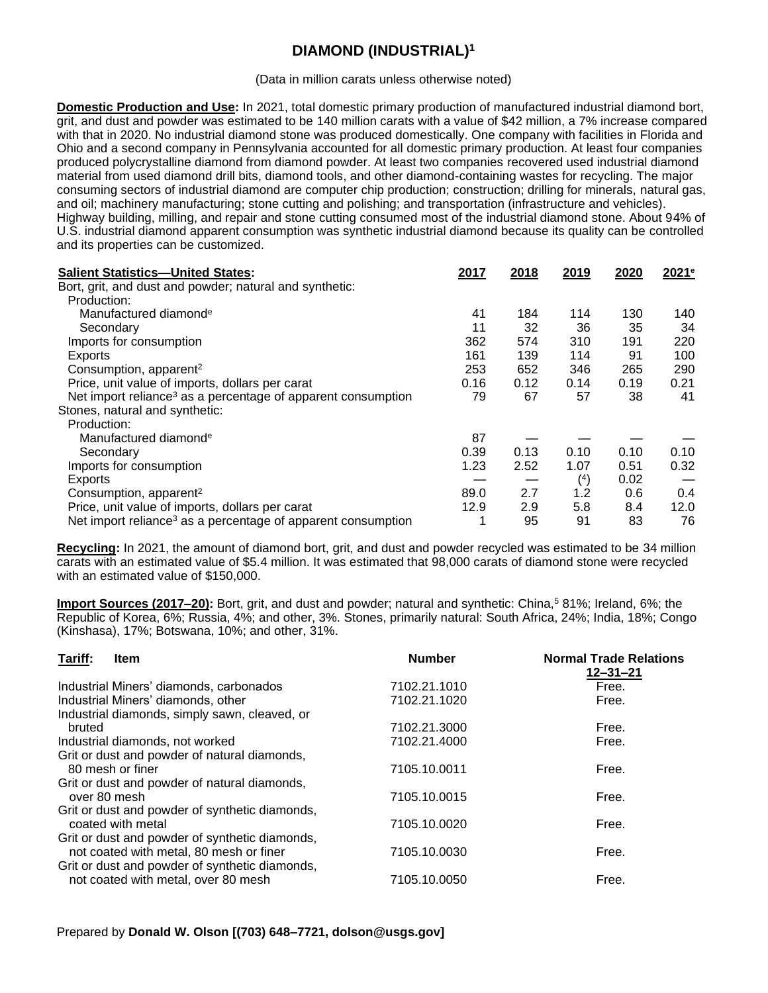## **DIAMOND (INDUSTRIAL)<sup>1</sup>**

(Data in million carats unless otherwise noted)

**Domestic Production and Use:** In 2021, total domestic primary production of manufactured industrial diamond bort, grit, and dust and powder was estimated to be 140 million carats with a value of \$42 million, a 7% increase compared with that in 2020. No industrial diamond stone was produced domestically. One company with facilities in Florida and Ohio and a second company in Pennsylvania accounted for all domestic primary production. At least four companies produced polycrystalline diamond from diamond powder. At least two companies recovered used industrial diamond material from used diamond drill bits, diamond tools, and other diamond-containing wastes for recycling. The major consuming sectors of industrial diamond are computer chip production; construction; drilling for minerals, natural gas, and oil; machinery manufacturing; stone cutting and polishing; and transportation (infrastructure and vehicles). Highway building, milling, and repair and stone cutting consumed most of the industrial diamond stone. About 94% of U.S. industrial diamond apparent consumption was synthetic industrial diamond because its quality can be controlled and its properties can be customized.

| <b>Salient Statistics-United States:</b>                                 | 2017 | 2018 | 2019 | 2020 | 2021 <sup>e</sup> |
|--------------------------------------------------------------------------|------|------|------|------|-------------------|
| Bort, grit, and dust and powder; natural and synthetic:                  |      |      |      |      |                   |
| Production:                                                              |      |      |      |      |                   |
| Manufactured diamond <sup>e</sup>                                        | 41   | 184  | 114  | 130  | 140.              |
| Secondary                                                                | 11   | 32   | 36   | 35   | 34                |
| Imports for consumption                                                  | 362  | 574  | 310  | 191  | 220               |
| Exports                                                                  | 161  | 139  | 114  | 91   | 100               |
| Consumption, apparent <sup>2</sup>                                       | 253  | 652  | 346  | 265  | 290               |
| Price, unit value of imports, dollars per carat                          | 0.16 | 0.12 | 0.14 | 0.19 | 0.21              |
| Net import reliance <sup>3</sup> as a percentage of apparent consumption | 79   | 67   | 57   | 38   | 41                |
| Stones, natural and synthetic:                                           |      |      |      |      |                   |
| Production:                                                              |      |      |      |      |                   |
| Manufactured diamond <sup>e</sup>                                        | 87   |      |      |      |                   |
| Secondary                                                                | 0.39 | 0.13 | 0.10 | 0.10 | 0.10              |
| Imports for consumption                                                  | 1.23 | 2.52 | 1.07 | 0.51 | 0.32              |
| Exports                                                                  |      |      | (4)  | 0.02 |                   |
| Consumption, apparent <sup>2</sup>                                       | 89.0 | 2.7  | 1.2  | 0.6  | 0.4               |
| Price, unit value of imports, dollars per carat                          | 12.9 | 2.9  | 5.8  | 8.4  | 12.0              |
| Net import reliance <sup>3</sup> as a percentage of apparent consumption | ٠    | 95   | 91   | 83   | 76                |

**Recycling:** In 2021, the amount of diamond bort, grit, and dust and powder recycled was estimated to be 34 million carats with an estimated value of \$5.4 million. It was estimated that 98,000 carats of diamond stone were recycled with an estimated value of \$150,000.

**Import Sources (2017–20):** Bort, grit, and dust and powder; natural and synthetic: China,<sup>5</sup> 81%; Ireland, 6%; the Republic of Korea, 6%; Russia, 4%; and other, 3%. Stones, primarily natural: South Africa, 24%; India, 18%; Congo (Kinshasa), 17%; Botswana, 10%; and other, 31%.

| Tariff:<br><b>Item</b>                         | <b>Number</b> | <b>Normal Trade Relations</b><br>$12 - 31 - 21$ |
|------------------------------------------------|---------------|-------------------------------------------------|
| Industrial Miners' diamonds, carbonados        | 7102.21.1010  | Free.                                           |
| Industrial Miners' diamonds, other             | 7102.21.1020  | Free.                                           |
| Industrial diamonds, simply sawn, cleaved, or  |               |                                                 |
| bruted                                         | 7102.21.3000  | Free.                                           |
| Industrial diamonds, not worked                | 7102.21.4000  | Free.                                           |
| Grit or dust and powder of natural diamonds,   |               |                                                 |
| 80 mesh or finer                               | 7105.10.0011  | Free.                                           |
| Grit or dust and powder of natural diamonds,   |               |                                                 |
| over 80 mesh                                   | 7105.10.0015  | Free.                                           |
| Grit or dust and powder of synthetic diamonds, |               |                                                 |
| coated with metal                              | 7105.10.0020  | Free.                                           |
| Grit or dust and powder of synthetic diamonds, |               |                                                 |
| not coated with metal, 80 mesh or finer        | 7105.10.0030  | Free.                                           |
| Grit or dust and powder of synthetic diamonds, |               |                                                 |
| not coated with metal, over 80 mesh            | 7105.10.0050  | Free.                                           |